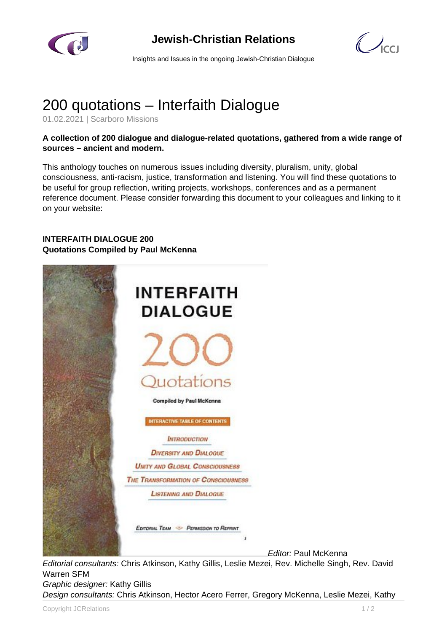

## **Jewish-Christian Relations**

 $\mathcal{C}$ 

Insights and Issues in the ongoing Jewish-Christian Dialogue

# 200 quotations – Interfaith Dialogue

01.02.2021 | Scarboro Missions

### **A collection of 200 dialogue and dialogue-related quotations, gathered from a wide range of sources – ancient and modern.**

This anthology touches on numerous issues including diversity, pluralism, unity, global consciousness, anti-racism, justice, transformation and listening. You will find these quotations to be useful for group reflection, writing projects, workshops, conferences and as a permanent reference document. Please consider forwarding this document to your colleagues and linking to it on your website:

### **INTERFAITH DIALOGUE 200 Quotations Compiled by Paul McKenna**



Editor: Paul McKenna

Editorial consultants: Chris Atkinson, Kathy Gillis, Leslie Mezei, Rev. Michelle Singh, Rev. David Warren SFM

Graphic designer: Kathy Gillis

Design consultants: Chris Atkinson, Hector Acero Ferrer, Gregory McKenna, Leslie Mezei, Kathy